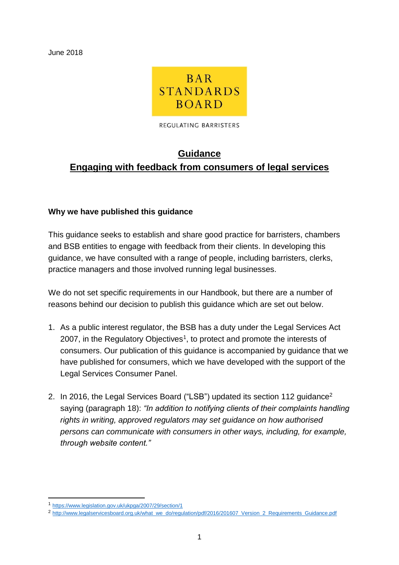June 2018



REGULATING BARRISTERS

# **Guidance Engaging with feedback from consumers of legal services**

#### **Why we have published this guidance**

This guidance seeks to establish and share good practice for barristers, chambers and BSB entities to engage with feedback from their clients. In developing this guidance, we have consulted with a range of people, including barristers, clerks, practice managers and those involved running legal businesses.

We do not set specific requirements in our Handbook, but there are a number of reasons behind our decision to publish this guidance which are set out below.

- 1. As a public interest regulator, the BSB has a duty under the Legal Services Act 2007, in the Regulatory Objectives<sup>1</sup>, to protect and promote the interests of consumers. Our publication of this guidance is accompanied by guidance that we have published for consumers, which we have developed with the support of the Legal Services Consumer Panel.
- 2. In 2016, the Legal Services Board ("LSB") updated its section 112 quidance<sup>2</sup> saying (paragraph 18): *"In addition to notifying clients of their complaints handling rights in writing, approved regulators may set guidance on how authorised persons can communicate with consumers in other ways, including, for example, through website content."*

-

<sup>1</sup> <https://www.legislation.gov.uk/ukpga/2007/29/section/1>

<sup>&</sup>lt;sup>2</sup> [http://www.legalservicesboard.org.uk/what\\_we\\_do/regulation/pdf/2016/201607\\_Version\\_2\\_Requirements\\_Guidance.pdf](http://www.legalservicesboard.org.uk/what_we_do/regulation/pdf/2016/201607_Version_2_Requirements_Guidance.pdf)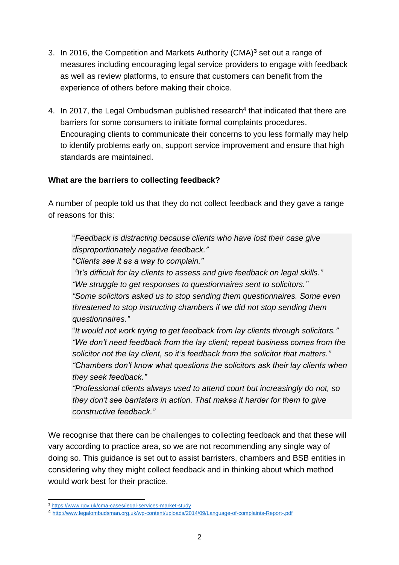- 3. In 2016, the Competition and Markets Authority (CMA)**<sup>3</sup>** set out a range of measures including encouraging legal service providers to engage with feedback as well as review platforms, to ensure that customers can benefit from the experience of others before making their choice.
- 4. In 2017, the Legal Ombudsman published research<sup>4</sup> that indicated that there are barriers for some consumers to initiate formal complaints procedures. Encouraging clients to communicate their concerns to you less formally may help to identify problems early on, support service improvement and ensure that high standards are maintained.

### **What are the barriers to collecting feedback?**

A number of people told us that they do not collect feedback and they gave a range of reasons for this:

"*Feedback is distracting because clients who have lost their case give disproportionately negative feedback."*

*"Clients see it as a way to complain."*

*"It's difficult for lay clients to assess and give feedback on legal skills." "We struggle to get responses to questionnaires sent to solicitors." "Some solicitors asked us to stop sending them questionnaires. Some even threatened to stop instructing chambers if we did not stop sending them questionnaires."*

"*It would not work trying to get feedback from lay clients through solicitors." "We don't need feedback from the lay client; repeat business comes from the solicitor not the lay client, so it's feedback from the solicitor that matters." "Chambers don't know what questions the solicitors ask their lay clients when they seek feedback."*

*"Professional clients always used to attend court but increasingly do not, so they don't see barristers in action. That makes it harder for them to give constructive feedback."*

We recognise that there can be challenges to collecting feedback and that these will vary according to practice area, so we are not recommending any single way of doing so. This guidance is set out to assist barristers, chambers and BSB entities in considering why they might collect feedback and in thinking about which method would work best for their practice.

 $\overline{a}$ <sup>3</sup> <https://www.gov.uk/cma-cases/legal-services-market-study>

<sup>4</sup> <http://www.legalombudsman.org.uk/wp-content/uploads/2014/09/Language-of-complaints-Report-.pdf>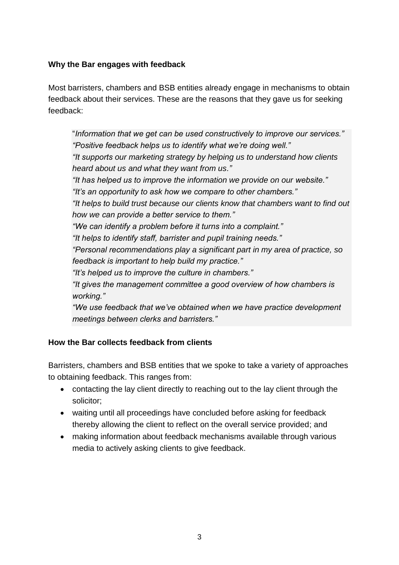## **Why the Bar engages with feedback**

Most barristers, chambers and BSB entities already engage in mechanisms to obtain feedback about their services. These are the reasons that they gave us for seeking feedback:

"*Information that we get can be used constructively to improve our services." "Positive feedback helps us to identify what we're doing well." "It supports our marketing strategy by helping us to understand how clients heard about us and what they want from us." "It has helped us to improve the information we provide on our website." "It's an opportunity to ask how we compare to other chambers." "It helps to build trust because our clients know that chambers want to find out how we can provide a better service to them." "We can identify a problem before it turns into a complaint." "It helps to identify staff, barrister and pupil training needs." "Personal recommendations play a significant part in my area of practice, so feedback is important to help build my practice." "It's helped us to improve the culture in chambers." "It gives the management committee a good overview of how chambers is working." "We use feedback that we've obtained when we have practice development meetings between clerks and barristers."* 

### **How the Bar collects feedback from clients**

Barristers, chambers and BSB entities that we spoke to take a variety of approaches to obtaining feedback. This ranges from:

- contacting the lay client directly to reaching out to the lay client through the solicitor;
- waiting until all proceedings have concluded before asking for feedback thereby allowing the client to reflect on the overall service provided; and
- making information about feedback mechanisms available through various media to actively asking clients to give feedback.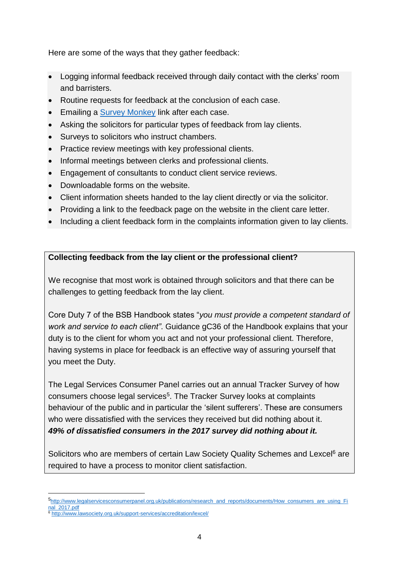Here are some of the ways that they gather feedback:

- Logging informal feedback received through daily contact with the clerks' room and barristers.
- Routine requests for feedback at the conclusion of each case.
- **Emailing a [Survey Monkey](http://www.surveymonkey.co.uk/) link after each case.**
- Asking the solicitors for particular types of feedback from lay clients.
- Surveys to solicitors who instruct chambers.
- Practice review meetings with key professional clients.
- Informal meetings between clerks and professional clients.
- Engagement of consultants to conduct client service reviews.
- Downloadable forms on the website.
- Client information sheets handed to the lay client directly or via the solicitor.
- Providing a link to the feedback page on the website in the client care letter.
- Including a client feedback form in the complaints information given to lay clients.

## **Collecting feedback from the lay client or the professional client?**

We recognise that most work is obtained through solicitors and that there can be challenges to getting feedback from the lay client.

Core Duty 7 of the BSB Handbook states "*you must provide a competent standard of work and service to each client"*. Guidance gC36 of the Handbook explains that your duty is to the client for whom you act and not your professional client. Therefore, having systems in place for feedback is an effective way of assuring yourself that you meet the Duty.

The Legal Services Consumer Panel carries out an annual Tracker Survey of how consumers choose legal services<sup>5</sup>. The Tracker Survey looks at complaints behaviour of the public and in particular the 'silent sufferers'. These are consumers who were dissatisfied with the services they received but did nothing about it. *49% of dissatisfied consumers in the 2017 survey did nothing about it.* 

Solicitors who are members of certain Law Society Quality Schemes and Lexcel<sup>6</sup> are required to have a process to monitor client satisfaction.

-

<sup>5</sup>[http://www.legalservicesconsumerpanel.org.uk/publications/research\\_and\\_reports/documents/How\\_consumers\\_are\\_using\\_Fi](http://www.legalservicesconsumerpanel.org.uk/publications/research_and_reports/documents/How_consumers_are_using_Final_2017.pdf) [nal\\_2017.pdf](http://www.legalservicesconsumerpanel.org.uk/publications/research_and_reports/documents/How_consumers_are_using_Final_2017.pdf)

<sup>6</sup> <http://www.lawsociety.org.uk/support-services/accreditation/lexcel/>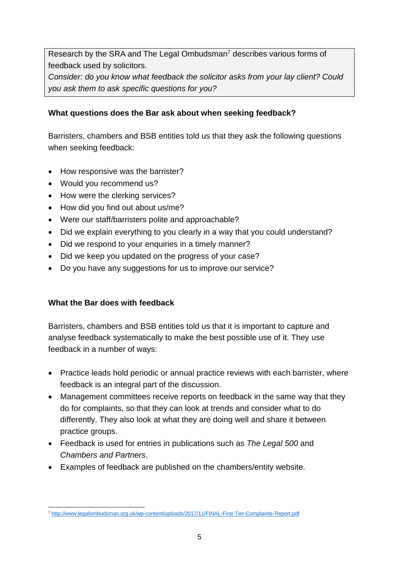Research by the SRA and The Legal Ombudsman<sup>7</sup> describes various forms of feedback used by solicitors.

*Consider: do you know what feedback the solicitor asks from your lay client? Could you ask them to ask specific questions for you?*

## **What questions does the Bar ask about when seeking feedback?**

Barristers, chambers and BSB entities told us that they ask the following questions when seeking feedback:

- How responsive was the barrister?
- Would you recommend us?
- How were the clerking services?
- How did you find out about us/me?
- Were our staff/barristers polite and approachable?
- Did we explain everything to you clearly in a way that you could understand?
- Did we respond to your enquiries in a timely manner?
- Did we keep you updated on the progress of your case?
- Do you have any suggestions for us to improve our service?

# **What the Bar does with feedback**

Barristers, chambers and BSB entities told us that it is important to capture and analyse feedback systematically to make the best possible use of it. They use feedback in a number of ways:

- Practice leads hold periodic or annual practice reviews with each barrister, where feedback is an integral part of the discussion.
- Management committees receive reports on feedback in the same way that they do for complaints, so that they can look at trends and consider what to do differently. They also look at what they are doing well and share it between practice groups.
- Feedback is used for entries in publications such as *The Legal 500* and *Chambers and Partners*.
- Examples of feedback are published on the chambers/entity website.

<sup>-</sup><sup>7</sup> <http://www.legalombudsman.org.uk/wp-content/uploads/2017/11/FINAL-First-Tier-Complaints-Report.pdf>